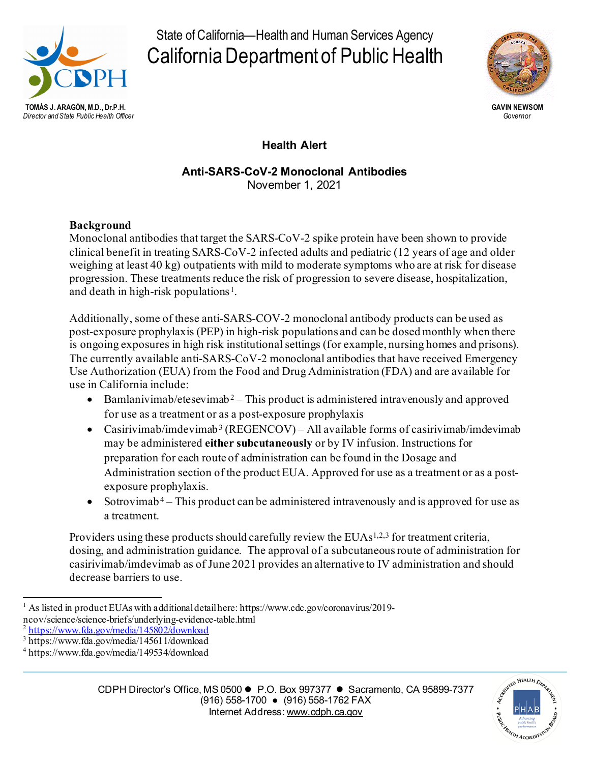

State of California—Health and Human Services Agency California Department of Public Health



# **Health Alert**

#### **Anti-SARS-CoV-2 Monoclonal Antibodies** November 1, 2021

## **Background**

Monoclonal antibodies that target the SARS-CoV-2 spike protein have been shown to provide clinical benefit in treating SARS-CoV-2 infected adults and pediatric (12 years of age and older weighing at least 40 kg) outpatients with mild to moderate symptoms who are at risk for disease progression. These treatments reduce the risk of progression to severe disease, hospitalization, and death in high-risk populations<sup>[1](#page-0-0)</sup>.

Additionally, some of these anti-SARS-COV-2 monoclonal antibody products can be used as post-exposure prophylaxis (PEP) in high-risk populations and can be dosed monthly when there is ongoing exposures in high risk institutional settings (for example, nursing homes and prisons). The currently available anti-SARS-CoV-2 monoclonal antibodies that have received Emergency Use Authorization (EUA) from the Food and Drug Administration (FDA) and are available for use in California include:

- Bamlanivimab/etesevimab<sup>[2](#page-0-1)</sup> This product is administered intravenously and approved for use as a treatment or as a post-exposure prophylaxis
- Casirivimab/imdevimab<sup>[3](#page-0-2)</sup> (REGENCOV) All available forms of casirivimab/imdevimab may be administered **either subcutaneously** or by IV infusion. Instructions for preparation for each route of administration can be found in the Dosage and Administration section of the product EUA. Approved for use as a treatment or as a postexposure prophylaxis.
- Sotrovimab<sup>[4](#page-0-3)</sup> This product can be administered intravenously and is approved for use as a treatment.

Providers using these products should carefully review the EUAs<sup>1,2,3</sup> for treatment criteria, dosing, and administration guidance. The approval of a subcutaneousroute of administration for casirivimab/imdevimab as of June 2021 provides an alternative to IV administration and should decrease barriers to use.



<span id="page-0-0"></span><sup>&</sup>lt;sup>1</sup> As listed in product EUAs with a dditional detail here: https://www.cdc.gov/coronavirus/2019ncov/science/science-briefs/underlying-evidence-table.html<br>
<sup>2</sup> <https://www.fda.gov/media/145802/download>

<span id="page-0-2"></span><span id="page-0-1"></span><sup>3</sup> https://www.fda.gov/media/145611/download

<span id="page-0-3"></span><sup>4</sup> https://www.fda.gov/media/149534/download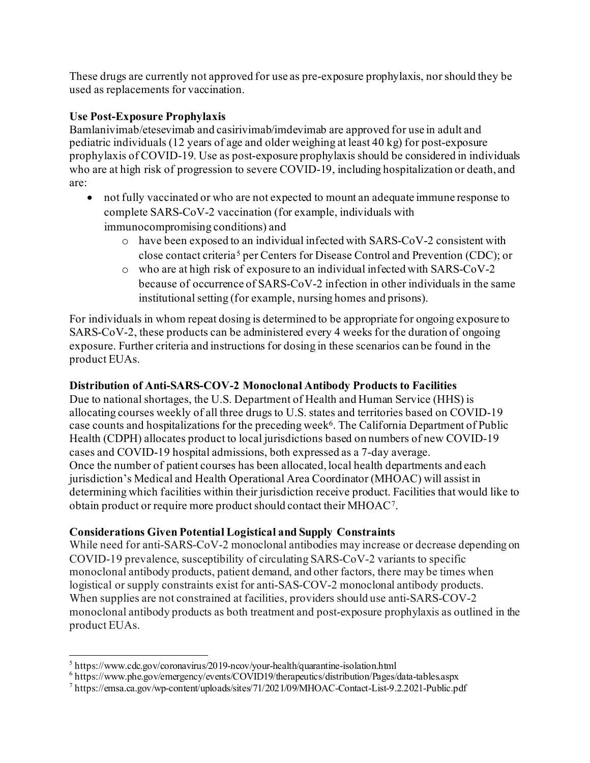These drugs are currently not approved for use as pre-exposure prophylaxis, nor should they be used as replacements for vaccination.

## **Use Post-Exposure Prophylaxis**

Bamlanivimab/etesevimab and casirivimab/imdevimab are approved for use in adult and pediatric individuals (12 years of age and older weighing at least 40 kg) for post-exposure prophylaxis of COVID-19. Use as post-exposure prophylaxis should be considered in individuals who are at high risk of progression to severe COVID-19, including hospitalization or death, and are:

- not fully vaccinated or who are not expected to mount an adequate immune response to complete SARS-CoV-2 vaccination (for example, individuals with immunocompromising conditions) and
	- o have been exposed to an individual infected with SARS-CoV-2 consistent with close contact criteria [5](#page-1-0) per Centers for Disease Control and Prevention (CDC); or
	- o who are at high risk of exposure to an individual infected with SARS-CoV-2 because of occurrence of SARS-CoV-2 infection in other individuals in the same institutional setting (for example, nursing homes and prisons).

For individuals in whom repeat dosing is determined to be appropriate for ongoing exposure to SARS-CoV-2, these products can be administered every 4 weeks for the duration of ongoing exposure. Further criteria and instructions for dosing in these scenarios can be found in the product EUAs.

# **Distribution of Anti-SARS-COV-2 Monoclonal Antibody Products to Facilities**

Due to national shortages, the U.S. Department of Health and Human Service (HHS) is allocating courses weekly of all three drugs to U.S. states and territories based on COVID-19 case counts and hospitalizations for the preceding week[6.](#page-1-1) The California Department of Public Health (CDPH) allocates product to local jurisdictions based on numbers of new COVID-19 cases and COVID-19 hospital admissions, both expressed as a 7-day average. Once the number of patient courses has been allocated, local health departments and each jurisdiction's Medical and Health Operational Area Coordinator (MHOAC) will assist in determining which facilities within their jurisdiction receive product. Facilities that would like to obtain product or require more product should contact their MHOAC[7](#page-1-2).

# **Considerations Given Potential Logistical and Supply Constraints**

While need for anti-SARS-CoV-2 monoclonal antibodies may increase or decrease depending on COVID-19 prevalence, susceptibility of circulating SARS-CoV-2 variants to specific monoclonal antibody products, patient demand, and other factors, there may be times when logistical or supply constraints exist for anti-SAS-COV-2 monoclonal antibody products. When supplies are not constrained at facilities, providers should use anti-SARS-COV-2 monoclonal antibody products as both treatment and post-exposure prophylaxis as outlined in the product EUAs.

<span id="page-1-0"></span> $5$  https://www.cdc.gov/coronavirus/2019-ncov/your-health/quarantine-isolation.html 6 https://www.phe.gov/emergency/events/COVID19/therapeutics/distribution/Pages/data-tables.aspx

<span id="page-1-2"></span><span id="page-1-1"></span><sup>7</sup> https://emsa.ca.gov/wp-content/uploads/sites/71/2021/09/MHOAC-Contact-List-9.2.2021-Public.pdf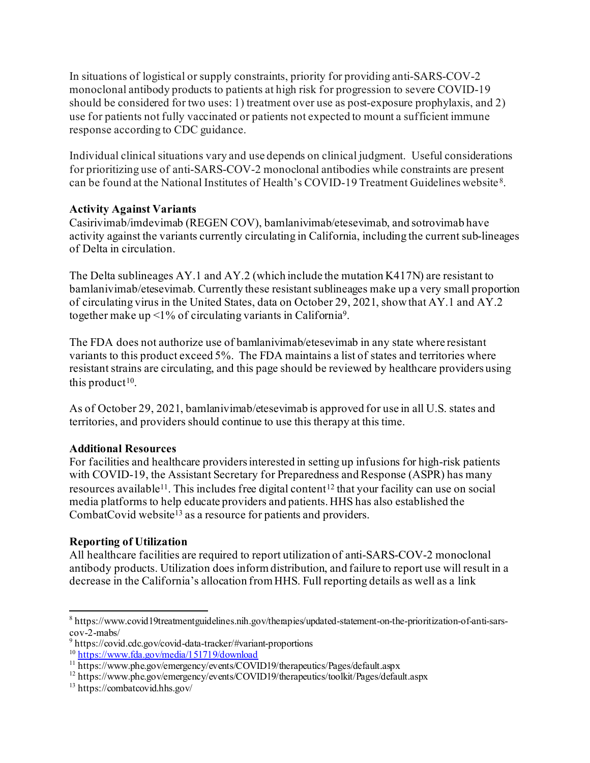In situations of logistical or supply constraints, priority for providing anti-SARS-COV-2 monoclonal antibody products to patients at high risk for progression to severe COVID-19 should be considered for two uses: 1) treatment over use as post-exposure prophylaxis, and 2) use for patients not fully vaccinated or patients not expected to mount a sufficient immune response according to CDC guidance.

Individual clinical situations vary and use depends on clinical judgment. Useful considerations for prioritizing use of anti-SARS-COV-2 monoclonal antibodies while constraints are present can be found at the National Institutes of Health's COVID-19 Treatment Guidelines website [8](#page-2-0).

## **Activity Against Variants**

Casirivimab/imdevimab (REGEN COV), bamlanivimab/etesevimab, and sotrovimab have activity against the variants currently circulating in California, including the current sub-lineages of Delta in circulation.

The Delta sublineages AY.1 and AY.2 (which include the mutation K417N) are resistant to bamlanivimab/etesevimab. Currently these resistant sublineages make up a very small proportion of circulating virus in the United States, data on October 29, 2021, show that AY.1 and AY.2 together make up  $\leq$ 1% of circulating variants in California<sup>[9](#page-2-1)</sup>.

The FDA does not authorize use of bamlanivimab/etesevimab in any state where resistant variants to this product exceed 5%. The FDA maintains a list of states and territories where resistant strains are circulating, and this page should be reviewed by healthcare providers using this product<sup>[10](#page-2-2)</sup>.

As of October 29, 2021, bamlanivimab/etesevimab is approved for use in all U.S. states and territories, and providers should continue to use this therapy at this time.

#### **Additional Resources**

For facilities and healthcare providers interested in setting up infusions for high-risk patients with COVID-19, the Assistant Secretary for Preparedness and Response (ASPR) has many resources available<sup>11</sup>. This includes free digital content<sup>[12](#page-2-4)</sup> that your facility can use on social media platforms to help educate providers and patients. HHS has also established the CombatCovid website<sup>[13](#page-2-5)</sup> as a resource for patients and providers.

# **Reporting of Utilization**

All healthcare facilities are required to report utilization of anti-SARS-COV-2 monoclonal antibody products. Utilization does inform distribution, and failure to report use will result in a decrease in the California's allocation from HHS. Full reporting details as well as a link

<span id="page-2-0"></span><sup>8</sup> https://www.covid19treatmentguidelines.nih.gov/therapies/updated-statement-on-the-prioritization-of-anti-sars-

<span id="page-2-1"></span>cov-2-mabs/<br><sup>9</sup> https://covid.cdc.gov/covid-data-tracker/#variant-proportions<br><sup>10</sup> https://www.fda.gov/media/151719/download

<span id="page-2-2"></span>

<span id="page-2-3"></span><sup>&</sup>lt;sup>11</sup> https://www.phe.gov/emergency/events/COVID19/therapeutics/Pages/default.aspx  $^{12}$  https://www.phe.gov/emergency/events/COVID19/therapeutics/toolkit/Pages/default.aspx

<span id="page-2-4"></span>

<span id="page-2-5"></span><sup>13</sup> https://combatcovid.hhs.gov/